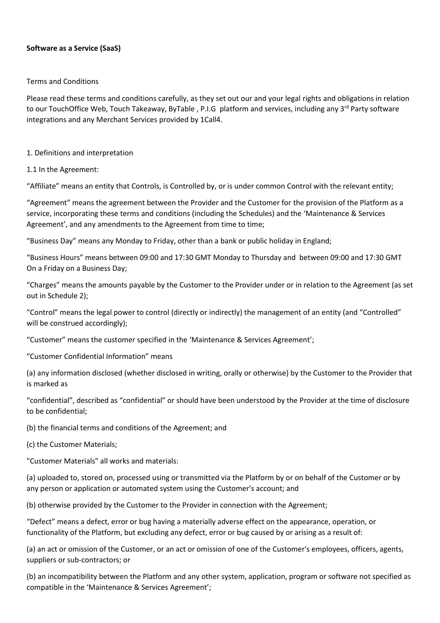#### **Software as a Service (SaaS)**

#### Terms and Conditions

Please read these terms and conditions carefully, as they set out our and your legal rights and obligations in relation to our TouchOffice Web, Touch Takeaway, ByTable, P.I.G platform and services, including any 3<sup>rd</sup> Party software integrations and any Merchant Services provided by 1Call4.

#### 1. Definitions and interpretation

### 1.1 In the Agreement:

"Affiliate" means an entity that Controls, is Controlled by, or is under common Control with the relevant entity;

"Agreement" means the agreement between the Provider and the Customer for the provision of the Platform as a service, incorporating these terms and conditions (including the Schedules) and the 'Maintenance & Services Agreement', and any amendments to the Agreement from time to time;

"Business Day" means any Monday to Friday, other than a bank or public holiday in England;

"Business Hours" means between 09:00 and 17:30 GMT Monday to Thursday and between 09:00 and 17:30 GMT On a Friday on a Business Day;

"Charges" means the amounts payable by the Customer to the Provider under or in relation to the Agreement (as set out in Schedule 2);

"Control" means the legal power to control (directly or indirectly) the management of an entity (and "Controlled" will be construed accordingly);

"Customer" means the customer specified in the 'Maintenance & Services Agreement';

"Customer Confidential Information" means

(a) any information disclosed (whether disclosed in writing, orally or otherwise) by the Customer to the Provider that is marked as

"confidential", described as "confidential" or should have been understood by the Provider at the time of disclosure to be confidential;

(b) the financial terms and conditions of the Agreement; and

(c) the Customer Materials;

"Customer Materials" all works and materials:

(a) uploaded to, stored on, processed using or transmitted via the Platform by or on behalf of the Customer or by any person or application or automated system using the Customer's account; and

(b) otherwise provided by the Customer to the Provider in connection with the Agreement;

"Defect" means a defect, error or bug having a materially adverse effect on the appearance, operation, or functionality of the Platform, but excluding any defect, error or bug caused by or arising as a result of:

(a) an act or omission of the Customer, or an act or omission of one of the Customer's employees, officers, agents, suppliers or sub-contractors; or

(b) an incompatibility between the Platform and any other system, application, program or software not specified as compatible in the 'Maintenance & Services Agreement';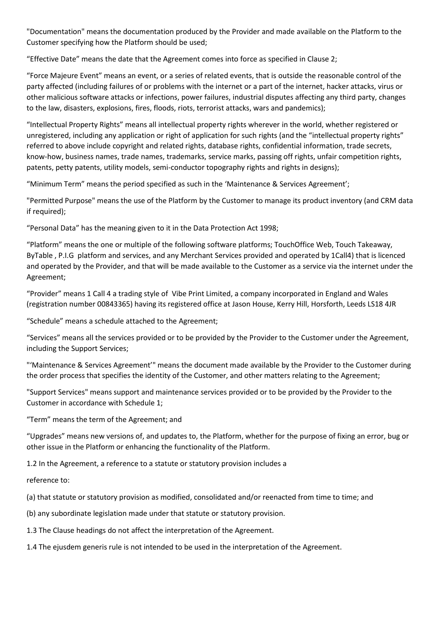"Documentation" means the documentation produced by the Provider and made available on the Platform to the Customer specifying how the Platform should be used;

"Effective Date" means the date that the Agreement comes into force as specified in Clause 2;

"Force Majeure Event" means an event, or a series of related events, that is outside the reasonable control of the party affected (including failures of or problems with the internet or a part of the internet, hacker attacks, virus or other malicious software attacks or infections, power failures, industrial disputes affecting any third party, changes to the law, disasters, explosions, fires, floods, riots, terrorist attacks, wars and pandemics);

"Intellectual Property Rights" means all intellectual property rights wherever in the world, whether registered or unregistered, including any application or right of application for such rights (and the "intellectual property rights" referred to above include copyright and related rights, database rights, confidential information, trade secrets, know-how, business names, trade names, trademarks, service marks, passing off rights, unfair competition rights, patents, petty patents, utility models, semi-conductor topography rights and rights in designs);

"Minimum Term" means the period specified as such in the 'Maintenance & Services Agreement';

"Permitted Purpose" means the use of the Platform by the Customer to manage its product inventory (and CRM data if required);

"Personal Data" has the meaning given to it in the Data Protection Act 1998;

"Platform" means the one or multiple of the following software platforms; TouchOffice Web, Touch Takeaway, ByTable , P.I.G platform and services, and any Merchant Services provided and operated by 1Call4) that is licenced and operated by the Provider, and that will be made available to the Customer as a service via the internet under the Agreement;

"Provider" means 1 Call 4 a trading style of Vibe Print Limited, a company incorporated in England and Wales (registration number 00843365) having its registered office at Jason House, Kerry Hill, Horsforth, Leeds LS18 4JR

"Schedule" means a schedule attached to the Agreement;

"Services" means all the services provided or to be provided by the Provider to the Customer under the Agreement, including the Support Services;

"'Maintenance & Services Agreement'" means the document made available by the Provider to the Customer during the order process that specifies the identity of the Customer, and other matters relating to the Agreement;

"Support Services" means support and maintenance services provided or to be provided by the Provider to the Customer in accordance with Schedule 1;

"Term" means the term of the Agreement; and

"Upgrades" means new versions of, and updates to, the Platform, whether for the purpose of fixing an error, bug or other issue in the Platform or enhancing the functionality of the Platform.

1.2 In the Agreement, a reference to a statute or statutory provision includes a

reference to:

(a) that statute or statutory provision as modified, consolidated and/or reenacted from time to time; and

(b) any subordinate legislation made under that statute or statutory provision.

1.3 The Clause headings do not affect the interpretation of the Agreement.

1.4 The ejusdem generis rule is not intended to be used in the interpretation of the Agreement.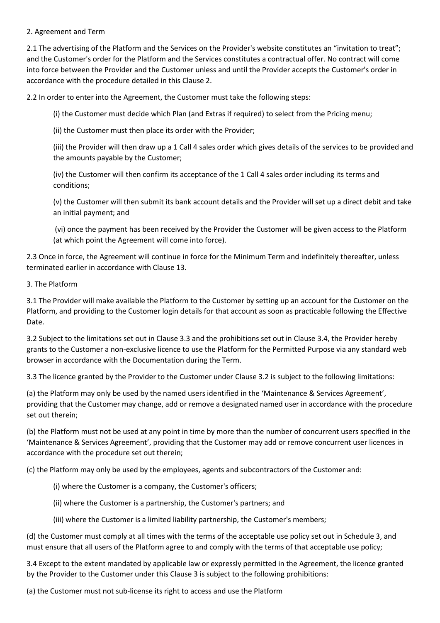### 2. Agreement and Term

2.1 The advertising of the Platform and the Services on the Provider's website constitutes an "invitation to treat"; and the Customer's order for the Platform and the Services constitutes a contractual offer. No contract will come into force between the Provider and the Customer unless and until the Provider accepts the Customer's order in accordance with the procedure detailed in this Clause 2.

2.2 In order to enter into the Agreement, the Customer must take the following steps:

(i) the Customer must decide which Plan (and Extras if required) to select from the Pricing menu;

(ii) the Customer must then place its order with the Provider;

(iii) the Provider will then draw up a 1 Call 4 sales order which gives details of the services to be provided and the amounts payable by the Customer;

(iv) the Customer will then confirm its acceptance of the 1 Call 4 sales order including its terms and conditions;

(v) the Customer will then submit its bank account details and the Provider will set up a direct debit and take an initial payment; and

(vi) once the payment has been received by the Provider the Customer will be given access to the Platform (at which point the Agreement will come into force).

2.3 Once in force, the Agreement will continue in force for the Minimum Term and indefinitely thereafter, unless terminated earlier in accordance with Clause 13.

#### 3. The Platform

3.1 The Provider will make available the Platform to the Customer by setting up an account for the Customer on the Platform, and providing to the Customer login details for that account as soon as practicable following the Effective Date.

3.2 Subject to the limitations set out in Clause 3.3 and the prohibitions set out in Clause 3.4, the Provider hereby grants to the Customer a non-exclusive licence to use the Platform for the Permitted Purpose via any standard web browser in accordance with the Documentation during the Term.

3.3 The licence granted by the Provider to the Customer under Clause 3.2 is subject to the following limitations:

(a) the Platform may only be used by the named users identified in the 'Maintenance & Services Agreement', providing that the Customer may change, add or remove a designated named user in accordance with the procedure set out therein;

(b) the Platform must not be used at any point in time by more than the number of concurrent users specified in the 'Maintenance & Services Agreement', providing that the Customer may add or remove concurrent user licences in accordance with the procedure set out therein;

(c) the Platform may only be used by the employees, agents and subcontractors of the Customer and:

- (i) where the Customer is a company, the Customer's officers;
- (ii) where the Customer is a partnership, the Customer's partners; and
- (iii) where the Customer is a limited liability partnership, the Customer's members;

(d) the Customer must comply at all times with the terms of the acceptable use policy set out in Schedule 3, and must ensure that all users of the Platform agree to and comply with the terms of that acceptable use policy;

3.4 Except to the extent mandated by applicable law or expressly permitted in the Agreement, the licence granted by the Provider to the Customer under this Clause 3 is subject to the following prohibitions:

(a) the Customer must not sub-license its right to access and use the Platform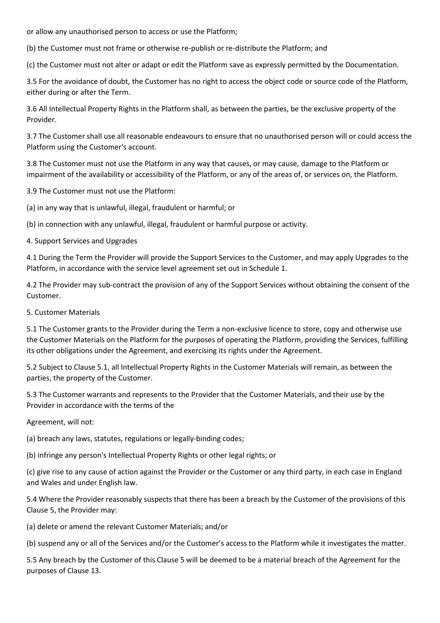or allow any unauthorised person to access or use the Platform;

(b) the Customer must not frame or otherwise re-publish or re-distribute the Platform; and

(c) the Customer must not alter or adapt or edit the Platform save as expressly permitted by the Documentation.

3.5 For the avoidance of doubt, the Customer has no right to access the object code or source code of the Platform, either during or after the Term.

3.6 All Intellectual Property Rights in the Platform shall, as between the parties, be the exclusive property of the Provider.

3.7 The Customer shall use all reasonable endeavours to ensure that no unauthorised person will or could access the Platform using the Customer's account.

3.8 The Customer must not use the Platform in any way that causes, or may cause, damage to the Platform or impairment of the availability or accessibility of the Platform, or any of the areas of, or services on, the Platform.

3.9 The Customer must not use the Platform:

(a) in any way that is unlawful, illegal, fraudulent or harmful; or

(b) in connection with any unlawful, illegal, fraudulent or harmful purpose or activity.

4. Support Services and Upgrades

4.1 During the Term the Provider will provide the Support Services to the Customer, and may apply Upgrades to the Platform, in accordance with the service level agreement set out in Schedule 1.

4.2 The Provider may sub-contract the provision of any of the Support Services without obtaining the consent of the Customer.

5. Customer Materials

5.1 The Customer grants to the Provider during the Term a non-exclusive licence to store, copy and otherwise use the Customer Materials on the Platform for the purposes of operating the Platform, providing the Services, fulfilling its other obligations under the Agreement, and exercising its rights under the Agreement.

5.2 Subject to Clause 5.1, all Intellectual Property Rights in the Customer Materials will remain, as between the parties, the property of the Customer.

5.3 The Customer warrants and represents to the Provider that the Customer Materials, and their use by the Provider in accordance with the terms of the

Agreement, will not:

(a) breach any laws, statutes, regulations or legally-binding codes;

(b) infringe any person's Intellectual Property Rights or other legal rights; or

(c) give rise to any cause of action against the Provider or the Customer or any third party, in each case in England and Wales and under English law.

5.4 Where the Provider reasonably suspects that there has been a breach by the Customer of the provisions of this Clause 5, the Provider may:

(a) delete or amend the relevant Customer Materials; and/or

(b) suspend any or all of the Services and/or the Customer's access to the Platform while it investigates the matter.

5.5 Any breach by the Customer of this Clause 5 will be deemed to be a material breach of the Agreement for the purposes of Clause 13.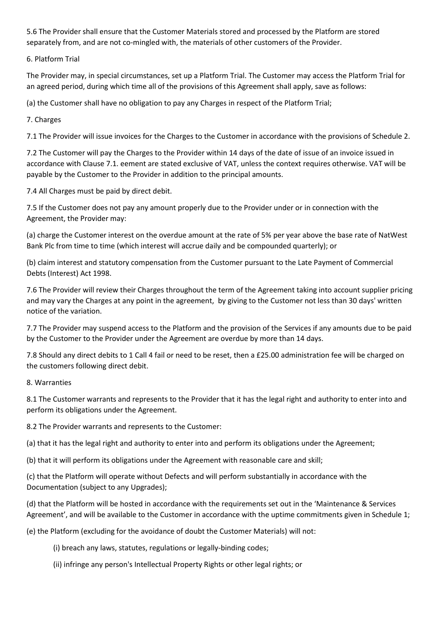5.6 The Provider shall ensure that the Customer Materials stored and processed by the Platform are stored separately from, and are not co-mingled with, the materials of other customers of the Provider.

# 6. Platform Trial

The Provider may, in special circumstances, set up a Platform Trial. The Customer may access the Platform Trial for an agreed period, during which time all of the provisions of this Agreement shall apply, save as follows:

(a) the Customer shall have no obligation to pay any Charges in respect of the Platform Trial;

7. Charges

7.1 The Provider will issue invoices for the Charges to the Customer in accordance with the provisions of Schedule 2.

7.2 The Customer will pay the Charges to the Provider within 14 days of the date of issue of an invoice issued in accordance with Clause 7.1. eement are stated exclusive of VAT, unless the context requires otherwise. VAT will be payable by the Customer to the Provider in addition to the principal amounts.

7.4 All Charges must be paid by direct debit.

7.5 If the Customer does not pay any amount properly due to the Provider under or in connection with the Agreement, the Provider may:

(a) charge the Customer interest on the overdue amount at the rate of 5% per year above the base rate of NatWest Bank Plc from time to time (which interest will accrue daily and be compounded quarterly); or

(b) claim interest and statutory compensation from the Customer pursuant to the Late Payment of Commercial Debts (Interest) Act 1998.

7.6 The Provider will review their Charges throughout the term of the Agreement taking into account supplier pricing and may vary the Charges at any point in the agreement, by giving to the Customer not less than 30 days' written notice of the variation.

7.7 The Provider may suspend access to the Platform and the provision of the Services if any amounts due to be paid by the Customer to the Provider under the Agreement are overdue by more than 14 days.

7.8 Should any direct debits to 1 Call 4 fail or need to be reset, then a £25.00 administration fee will be charged on the customers following direct debit.

# 8. Warranties

8.1 The Customer warrants and represents to the Provider that it has the legal right and authority to enter into and perform its obligations under the Agreement.

8.2 The Provider warrants and represents to the Customer:

(a) that it has the legal right and authority to enter into and perform its obligations under the Agreement;

(b) that it will perform its obligations under the Agreement with reasonable care and skill;

(c) that the Platform will operate without Defects and will perform substantially in accordance with the Documentation (subject to any Upgrades);

(d) that the Platform will be hosted in accordance with the requirements set out in the 'Maintenance & Services Agreement', and will be available to the Customer in accordance with the uptime commitments given in Schedule 1;

(e) the Platform (excluding for the avoidance of doubt the Customer Materials) will not:

(i) breach any laws, statutes, regulations or legally-binding codes;

(ii) infringe any person's Intellectual Property Rights or other legal rights; or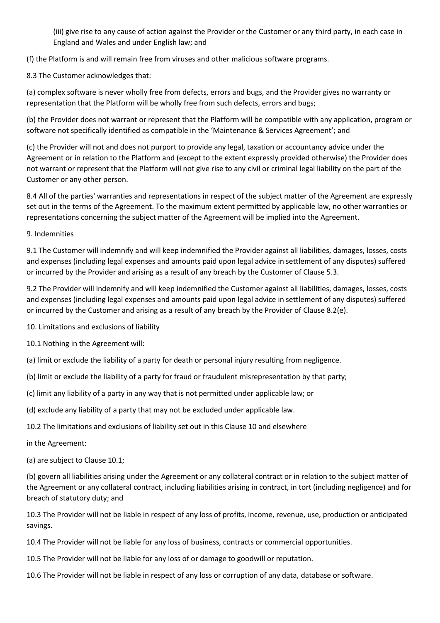(iii) give rise to any cause of action against the Provider or the Customer or any third party, in each case in England and Wales and under English law; and

(f) the Platform is and will remain free from viruses and other malicious software programs.

8.3 The Customer acknowledges that:

(a) complex software is never wholly free from defects, errors and bugs, and the Provider gives no warranty or representation that the Platform will be wholly free from such defects, errors and bugs;

(b) the Provider does not warrant or represent that the Platform will be compatible with any application, program or software not specifically identified as compatible in the 'Maintenance & Services Agreement'; and

(c) the Provider will not and does not purport to provide any legal, taxation or accountancy advice under the Agreement or in relation to the Platform and (except to the extent expressly provided otherwise) the Provider does not warrant or represent that the Platform will not give rise to any civil or criminal legal liability on the part of the Customer or any other person.

8.4 All of the parties' warranties and representations in respect of the subject matter of the Agreement are expressly set out in the terms of the Agreement. To the maximum extent permitted by applicable law, no other warranties or representations concerning the subject matter of the Agreement will be implied into the Agreement.

9. Indemnities

9.1 The Customer will indemnify and will keep indemnified the Provider against all liabilities, damages, losses, costs and expenses (including legal expenses and amounts paid upon legal advice in settlement of any disputes) suffered or incurred by the Provider and arising as a result of any breach by the Customer of Clause 5.3.

9.2 The Provider will indemnify and will keep indemnified the Customer against all liabilities, damages, losses, costs and expenses (including legal expenses and amounts paid upon legal advice in settlement of any disputes) suffered or incurred by the Customer and arising as a result of any breach by the Provider of Clause 8.2(e).

10. Limitations and exclusions of liability

10.1 Nothing in the Agreement will:

(a) limit or exclude the liability of a party for death or personal injury resulting from negligence.

(b) limit or exclude the liability of a party for fraud or fraudulent misrepresentation by that party;

(c) limit any liability of a party in any way that is not permitted under applicable law; or

(d) exclude any liability of a party that may not be excluded under applicable law.

10.2 The limitations and exclusions of liability set out in this Clause 10 and elsewhere

in the Agreement:

(a) are subject to Clause 10.1;

(b) govern all liabilities arising under the Agreement or any collateral contract or in relation to the subject matter of the Agreement or any collateral contract, including liabilities arising in contract, in tort (including negligence) and for breach of statutory duty; and

10.3 The Provider will not be liable in respect of any loss of profits, income, revenue, use, production or anticipated savings.

10.4 The Provider will not be liable for any loss of business, contracts or commercial opportunities.

10.5 The Provider will not be liable for any loss of or damage to goodwill or reputation.

10.6 The Provider will not be liable in respect of any loss or corruption of any data, database or software.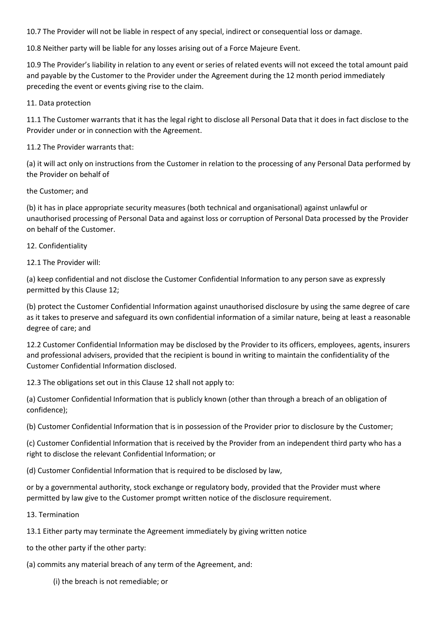10.7 The Provider will not be liable in respect of any special, indirect or consequential loss or damage.

10.8 Neither party will be liable for any losses arising out of a Force Majeure Event.

10.9 The Provider's liability in relation to any event or series of related events will not exceed the total amount paid and payable by the Customer to the Provider under the Agreement during the 12 month period immediately preceding the event or events giving rise to the claim.

11. Data protection

11.1 The Customer warrants that it has the legal right to disclose all Personal Data that it does in fact disclose to the Provider under or in connection with the Agreement.

11.2 The Provider warrants that:

(a) it will act only on instructions from the Customer in relation to the processing of any Personal Data performed by the Provider on behalf of

the Customer; and

(b) it has in place appropriate security measures (both technical and organisational) against unlawful or unauthorised processing of Personal Data and against loss or corruption of Personal Data processed by the Provider on behalf of the Customer.

### 12. Confidentiality

12.1 The Provider will:

(a) keep confidential and not disclose the Customer Confidential Information to any person save as expressly permitted by this Clause 12;

(b) protect the Customer Confidential Information against unauthorised disclosure by using the same degree of care as it takes to preserve and safeguard its own confidential information of a similar nature, being at least a reasonable degree of care; and

12.2 Customer Confidential Information may be disclosed by the Provider to its officers, employees, agents, insurers and professional advisers, provided that the recipient is bound in writing to maintain the confidentiality of the Customer Confidential Information disclosed.

12.3 The obligations set out in this Clause 12 shall not apply to:

(a) Customer Confidential Information that is publicly known (other than through a breach of an obligation of confidence);

(b) Customer Confidential Information that is in possession of the Provider prior to disclosure by the Customer;

(c) Customer Confidential Information that is received by the Provider from an independent third party who has a right to disclose the relevant Confidential Information; or

(d) Customer Confidential Information that is required to be disclosed by law,

or by a governmental authority, stock exchange or regulatory body, provided that the Provider must where permitted by law give to the Customer prompt written notice of the disclosure requirement.

13. Termination

13.1 Either party may terminate the Agreement immediately by giving written notice

to the other party if the other party:

(a) commits any material breach of any term of the Agreement, and:

(i) the breach is not remediable; or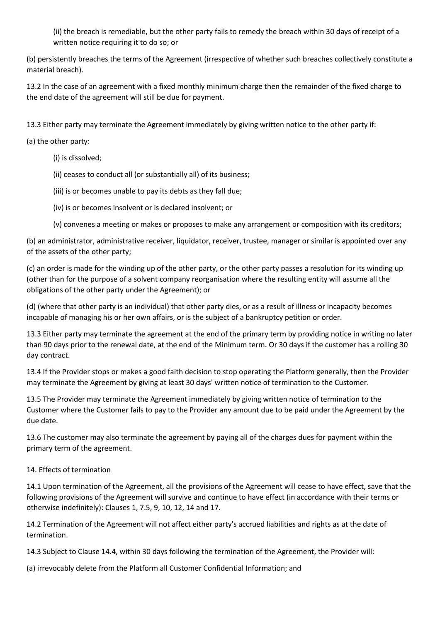(ii) the breach is remediable, but the other party fails to remedy the breach within 30 days of receipt of a written notice requiring it to do so; or

(b) persistently breaches the terms of the Agreement (irrespective of whether such breaches collectively constitute a material breach).

13.2 In the case of an agreement with a fixed monthly minimum charge then the remainder of the fixed charge to the end date of the agreement will still be due for payment.

13.3 Either party may terminate the Agreement immediately by giving written notice to the other party if:

(a) the other party:

- (i) is dissolved;
- (ii) ceases to conduct all (or substantially all) of its business;
- (iii) is or becomes unable to pay its debts as they fall due;
- (iv) is or becomes insolvent or is declared insolvent; or
- (v) convenes a meeting or makes or proposes to make any arrangement or composition with its creditors;

(b) an administrator, administrative receiver, liquidator, receiver, trustee, manager or similar is appointed over any of the assets of the other party;

(c) an order is made for the winding up of the other party, or the other party passes a resolution for its winding up (other than for the purpose of a solvent company reorganisation where the resulting entity will assume all the obligations of the other party under the Agreement); or

(d) (where that other party is an individual) that other party dies, or as a result of illness or incapacity becomes incapable of managing his or her own affairs, or is the subject of a bankruptcy petition or order.

13.3 Either party may terminate the agreement at the end of the primary term by providing notice in writing no later than 90 days prior to the renewal date, at the end of the Minimum term. Or 30 days if the customer has a rolling 30 day contract.

13.4 If the Provider stops or makes a good faith decision to stop operating the Platform generally, then the Provider may terminate the Agreement by giving at least 30 days' written notice of termination to the Customer.

13.5 The Provider may terminate the Agreement immediately by giving written notice of termination to the Customer where the Customer fails to pay to the Provider any amount due to be paid under the Agreement by the due date.

13.6 The customer may also terminate the agreement by paying all of the charges dues for payment within the primary term of the agreement.

# 14. Effects of termination

14.1 Upon termination of the Agreement, all the provisions of the Agreement will cease to have effect, save that the following provisions of the Agreement will survive and continue to have effect (in accordance with their terms or otherwise indefinitely): Clauses 1, 7.5, 9, 10, 12, 14 and 17.

14.2 Termination of the Agreement will not affect either party's accrued liabilities and rights as at the date of termination.

14.3 Subject to Clause 14.4, within 30 days following the termination of the Agreement, the Provider will:

(a) irrevocably delete from the Platform all Customer Confidential Information; and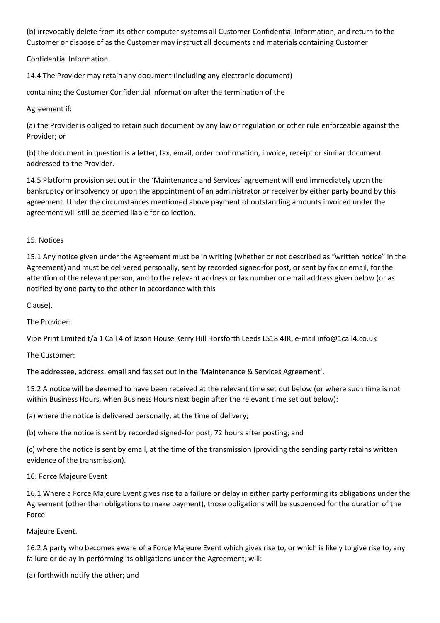(b) irrevocably delete from its other computer systems all Customer Confidential Information, and return to the Customer or dispose of as the Customer may instruct all documents and materials containing Customer

Confidential Information.

14.4 The Provider may retain any document (including any electronic document)

containing the Customer Confidential Information after the termination of the

Agreement if:

(a) the Provider is obliged to retain such document by any law or regulation or other rule enforceable against the Provider; or

(b) the document in question is a letter, fax, email, order confirmation, invoice, receipt or similar document addressed to the Provider.

14.5 Platform provision set out in the 'Maintenance and Services' agreement will end immediately upon the bankruptcy or insolvency or upon the appointment of an administrator or receiver by either party bound by this agreement. Under the circumstances mentioned above payment of outstanding amounts invoiced under the agreement will still be deemed liable for collection.

15. Notices

15.1 Any notice given under the Agreement must be in writing (whether or not described as "written notice" in the Agreement) and must be delivered personally, sent by recorded signed-for post, or sent by fax or email, for the attention of the relevant person, and to the relevant address or fax number or email address given below (or as notified by one party to the other in accordance with this

Clause).

The Provider:

Vibe Print Limited t/a 1 Call 4 of Jason House Kerry Hill Horsforth Leeds LS18 4JR, e-mail info@1call4.co.uk

The Customer:

The addressee, address, email and fax set out in the 'Maintenance & Services Agreement'.

15.2 A notice will be deemed to have been received at the relevant time set out below (or where such time is not within Business Hours, when Business Hours next begin after the relevant time set out below):

(a) where the notice is delivered personally, at the time of delivery;

(b) where the notice is sent by recorded signed-for post, 72 hours after posting; and

(c) where the notice is sent by email, at the time of the transmission (providing the sending party retains written evidence of the transmission).

# 16. Force Majeure Event

16.1 Where a Force Majeure Event gives rise to a failure or delay in either party performing its obligations under the Agreement (other than obligations to make payment), those obligations will be suspended for the duration of the Force

# Majeure Event.

16.2 A party who becomes aware of a Force Majeure Event which gives rise to, or which is likely to give rise to, any failure or delay in performing its obligations under the Agreement, will:

(a) forthwith notify the other; and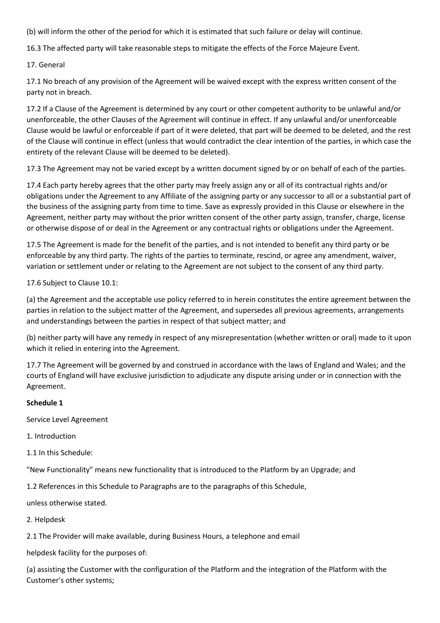(b) will inform the other of the period for which it is estimated that such failure or delay will continue.

16.3 The affected party will take reasonable steps to mitigate the effects of the Force Majeure Event.

17. General

17.1 No breach of any provision of the Agreement will be waived except with the express written consent of the party not in breach.

17.2 If a Clause of the Agreement is determined by any court or other competent authority to be unlawful and/or unenforceable, the other Clauses of the Agreement will continue in effect. If any unlawful and/or unenforceable Clause would be lawful or enforceable if part of it were deleted, that part will be deemed to be deleted, and the rest of the Clause will continue in effect (unless that would contradict the clear intention of the parties, in which case the entirety of the relevant Clause will be deemed to be deleted).

17.3 The Agreement may not be varied except by a written document signed by or on behalf of each of the parties.

17.4 Each party hereby agrees that the other party may freely assign any or all of its contractual rights and/or obligations under the Agreement to any Affiliate of the assigning party or any successor to all or a substantial part of the business of the assigning party from time to time. Save as expressly provided in this Clause or elsewhere in the Agreement, neither party may without the prior written consent of the other party assign, transfer, charge, license or otherwise dispose of or deal in the Agreement or any contractual rights or obligations under the Agreement.

17.5 The Agreement is made for the benefit of the parties, and is not intended to benefit any third party or be enforceable by any third party. The rights of the parties to terminate, rescind, or agree any amendment, waiver, variation or settlement under or relating to the Agreement are not subject to the consent of any third party.

17.6 Subject to Clause 10.1:

(a) the Agreement and the acceptable use policy referred to in herein constitutes the entire agreement between the parties in relation to the subject matter of the Agreement, and supersedes all previous agreements, arrangements and understandings between the parties in respect of that subject matter; and

(b) neither party will have any remedy in respect of any misrepresentation (whether written or oral) made to it upon which it relied in entering into the Agreement.

17.7 The Agreement will be governed by and construed in accordance with the laws of England and Wales; and the courts of England will have exclusive jurisdiction to adjudicate any dispute arising under or in connection with the Agreement.

# **Schedule 1**

Service Level Agreement

1. Introduction

1.1 In this Schedule:

"New Functionality" means new functionality that is introduced to the Platform by an Upgrade; and

1.2 References in this Schedule to Paragraphs are to the paragraphs of this Schedule,

unless otherwise stated.

2. Helpdesk

2.1 The Provider will make available, during Business Hours, a telephone and email

helpdesk facility for the purposes of:

(a) assisting the Customer with the configuration of the Platform and the integration of the Platform with the Customer's other systems;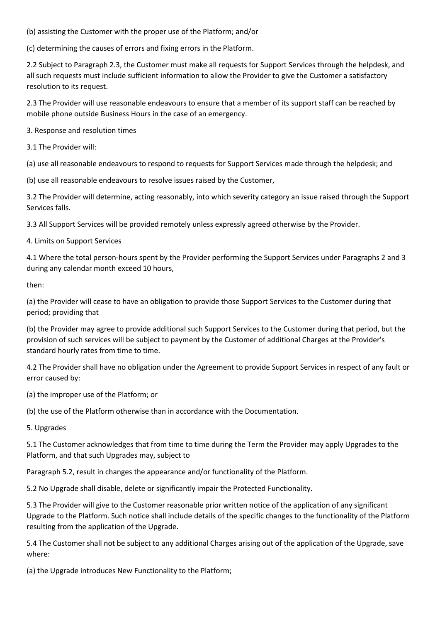(b) assisting the Customer with the proper use of the Platform; and/or

(c) determining the causes of errors and fixing errors in the Platform.

2.2 Subject to Paragraph 2.3, the Customer must make all requests for Support Services through the helpdesk, and all such requests must include sufficient information to allow the Provider to give the Customer a satisfactory resolution to its request.

2.3 The Provider will use reasonable endeavours to ensure that a member of its support staff can be reached by mobile phone outside Business Hours in the case of an emergency.

3. Response and resolution times

3.1 The Provider will:

(a) use all reasonable endeavours to respond to requests for Support Services made through the helpdesk; and

(b) use all reasonable endeavours to resolve issues raised by the Customer,

3.2 The Provider will determine, acting reasonably, into which severity category an issue raised through the Support Services falls.

3.3 All Support Services will be provided remotely unless expressly agreed otherwise by the Provider.

4. Limits on Support Services

4.1 Where the total person-hours spent by the Provider performing the Support Services under Paragraphs 2 and 3 during any calendar month exceed 10 hours,

then:

(a) the Provider will cease to have an obligation to provide those Support Services to the Customer during that period; providing that

(b) the Provider may agree to provide additional such Support Services to the Customer during that period, but the provision of such services will be subject to payment by the Customer of additional Charges at the Provider's standard hourly rates from time to time.

4.2 The Provider shall have no obligation under the Agreement to provide Support Services in respect of any fault or error caused by:

(a) the improper use of the Platform; or

(b) the use of the Platform otherwise than in accordance with the Documentation.

5. Upgrades

5.1 The Customer acknowledges that from time to time during the Term the Provider may apply Upgrades to the Platform, and that such Upgrades may, subject to

Paragraph 5.2, result in changes the appearance and/or functionality of the Platform.

5.2 No Upgrade shall disable, delete or significantly impair the Protected Functionality.

5.3 The Provider will give to the Customer reasonable prior written notice of the application of any significant Upgrade to the Platform. Such notice shall include details of the specific changes to the functionality of the Platform resulting from the application of the Upgrade.

5.4 The Customer shall not be subject to any additional Charges arising out of the application of the Upgrade, save where:

(a) the Upgrade introduces New Functionality to the Platform;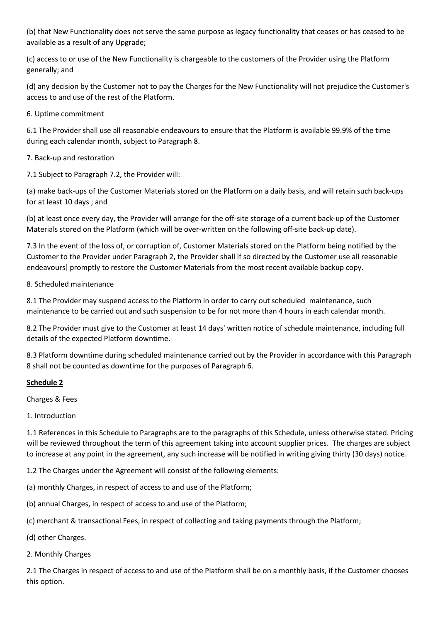(b) that New Functionality does not serve the same purpose as legacy functionality that ceases or has ceased to be available as a result of any Upgrade;

(c) access to or use of the New Functionality is chargeable to the customers of the Provider using the Platform generally; and

(d) any decision by the Customer not to pay the Charges for the New Functionality will not prejudice the Customer's access to and use of the rest of the Platform.

6. Uptime commitment

6.1 The Provider shall use all reasonable endeavours to ensure that the Platform is available 99.9% of the time during each calendar month, subject to Paragraph 8.

7. Back-up and restoration

7.1 Subject to Paragraph 7.2, the Provider will:

(a) make back-ups of the Customer Materials stored on the Platform on a daily basis, and will retain such back-ups for at least 10 days ; and

(b) at least once every day, the Provider will arrange for the off-site storage of a current back-up of the Customer Materials stored on the Platform (which will be over-written on the following off-site back-up date).

7.3 In the event of the loss of, or corruption of, Customer Materials stored on the Platform being notified by the Customer to the Provider under Paragraph 2, the Provider shall if so directed by the Customer use all reasonable endeavours] promptly to restore the Customer Materials from the most recent available backup copy.

8. Scheduled maintenance

8.1 The Provider may suspend access to the Platform in order to carry out scheduled maintenance, such maintenance to be carried out and such suspension to be for not more than 4 hours in each calendar month.

8.2 The Provider must give to the Customer at least 14 days' written notice of schedule maintenance, including full details of the expected Platform downtime.

8.3 Platform downtime during scheduled maintenance carried out by the Provider in accordance with this Paragraph 8 shall not be counted as downtime for the purposes of Paragraph 6.

# **Schedule 2**

Charges & Fees

1. Introduction

1.1 References in this Schedule to Paragraphs are to the paragraphs of this Schedule, unless otherwise stated. Pricing will be reviewed throughout the term of this agreement taking into account supplier prices. The charges are subject to increase at any point in the agreement, any such increase will be notified in writing giving thirty (30 days) notice.

1.2 The Charges under the Agreement will consist of the following elements:

(a) monthly Charges, in respect of access to and use of the Platform;

(b) annual Charges, in respect of access to and use of the Platform;

(c) merchant & transactional Fees, in respect of collecting and taking payments through the Platform;

(d) other Charges.

2. Monthly Charges

2.1 The Charges in respect of access to and use of the Platform shall be on a monthly basis, if the Customer chooses this option.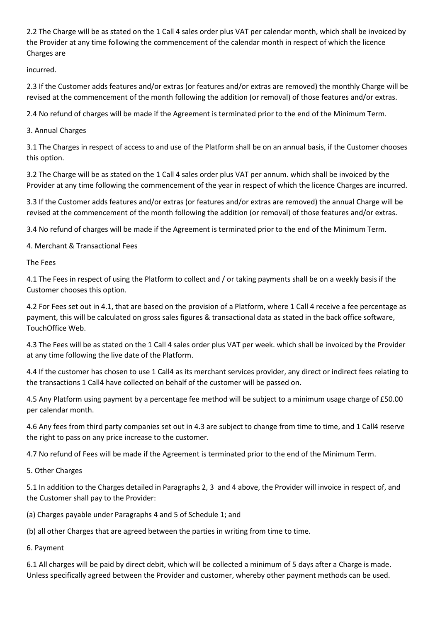2.2 The Charge will be as stated on the 1 Call 4 sales order plus VAT per calendar month, which shall be invoiced by the Provider at any time following the commencement of the calendar month in respect of which the licence Charges are

incurred.

2.3 If the Customer adds features and/or extras (or features and/or extras are removed) the monthly Charge will be revised at the commencement of the month following the addition (or removal) of those features and/or extras.

2.4 No refund of charges will be made if the Agreement is terminated prior to the end of the Minimum Term.

3. Annual Charges

3.1 The Charges in respect of access to and use of the Platform shall be on an annual basis, if the Customer chooses this option.

3.2 The Charge will be as stated on the 1 Call 4 sales order plus VAT per annum. which shall be invoiced by the Provider at any time following the commencement of the year in respect of which the licence Charges are incurred.

3.3 If the Customer adds features and/or extras (or features and/or extras are removed) the annual Charge will be revised at the commencement of the month following the addition (or removal) of those features and/or extras.

3.4 No refund of charges will be made if the Agreement is terminated prior to the end of the Minimum Term.

4. Merchant & Transactional Fees

The Fees

4.1 The Fees in respect of using the Platform to collect and / or taking payments shall be on a weekly basis if the Customer chooses this option.

4.2 For Fees set out in 4.1, that are based on the provision of a Platform, where 1 Call 4 receive a fee percentage as payment, this will be calculated on gross sales figures & transactional data as stated in the back office software, TouchOffice Web.

4.3 The Fees will be as stated on the 1 Call 4 sales order plus VAT per week. which shall be invoiced by the Provider at any time following the live date of the Platform.

4.4 If the customer has chosen to use 1 Call4 as its merchant services provider, any direct or indirect fees relating to the transactions 1 Call4 have collected on behalf of the customer will be passed on.

4.5 Any Platform using payment by a percentage fee method will be subject to a minimum usage charge of £50.00 per calendar month.

4.6 Any fees from third party companies set out in 4.3 are subject to change from time to time, and 1 Call4 reserve the right to pass on any price increase to the customer.

4.7 No refund of Fees will be made if the Agreement is terminated prior to the end of the Minimum Term.

5. Other Charges

5.1 In addition to the Charges detailed in Paragraphs 2, 3 and 4 above, the Provider will invoice in respect of, and the Customer shall pay to the Provider:

(a) Charges payable under Paragraphs 4 and 5 of Schedule 1; and

(b) all other Charges that are agreed between the parties in writing from time to time.

6. Payment

6.1 All charges will be paid by direct debit, which will be collected a minimum of 5 days after a Charge is made. Unless specifically agreed between the Provider and customer, whereby other payment methods can be used.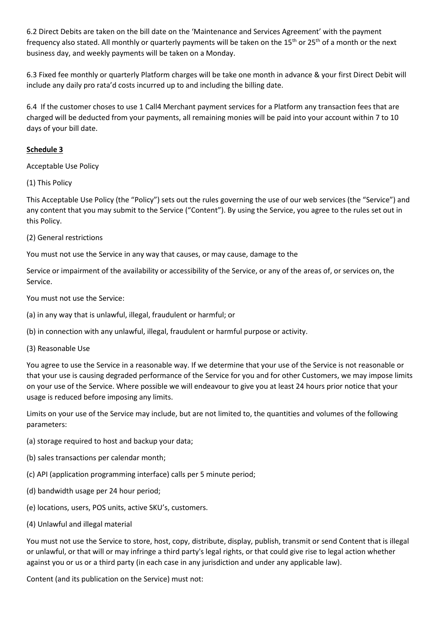6.2 Direct Debits are taken on the bill date on the 'Maintenance and Services Agreement' with the payment frequency also stated. All monthly or quarterly payments will be taken on the 15<sup>th</sup> or 25<sup>th</sup> of a month or the next business day, and weekly payments will be taken on a Monday.

6.3 Fixed fee monthly or quarterly Platform charges will be take one month in advance & your first Direct Debit will include any daily pro rata'd costs incurred up to and including the billing date.

6.4 If the customer choses to use 1 Call4 Merchant payment services for a Platform any transaction fees that are charged will be deducted from your payments, all remaining monies will be paid into your account within 7 to 10 days of your bill date.

# **Schedule 3**

Acceptable Use Policy

(1) This Policy

This Acceptable Use Policy (the "Policy") sets out the rules governing the use of our web services (the "Service") and any content that you may submit to the Service ("Content"). By using the Service, you agree to the rules set out in this Policy.

(2) General restrictions

You must not use the Service in any way that causes, or may cause, damage to the

Service or impairment of the availability or accessibility of the Service, or any of the areas of, or services on, the Service.

You must not use the Service:

(a) in any way that is unlawful, illegal, fraudulent or harmful; or

(b) in connection with any unlawful, illegal, fraudulent or harmful purpose or activity.

(3) Reasonable Use

You agree to use the Service in a reasonable way. If we determine that your use of the Service is not reasonable or that your use is causing degraded performance of the Service for you and for other Customers, we may impose limits on your use of the Service. Where possible we will endeavour to give you at least 24 hours prior notice that your usage is reduced before imposing any limits.

Limits on your use of the Service may include, but are not limited to, the quantities and volumes of the following parameters:

- (a) storage required to host and backup your data;
- (b) sales transactions per calendar month;
- (c) API (application programming interface) calls per 5 minute period;
- (d) bandwidth usage per 24 hour period;
- (e) locations, users, POS units, active SKU's, customers.
- (4) Unlawful and illegal material

You must not use the Service to store, host, copy, distribute, display, publish, transmit or send Content that is illegal or unlawful, or that will or may infringe a third party's legal rights, or that could give rise to legal action whether against you or us or a third party (in each case in any jurisdiction and under any applicable law).

Content (and its publication on the Service) must not: